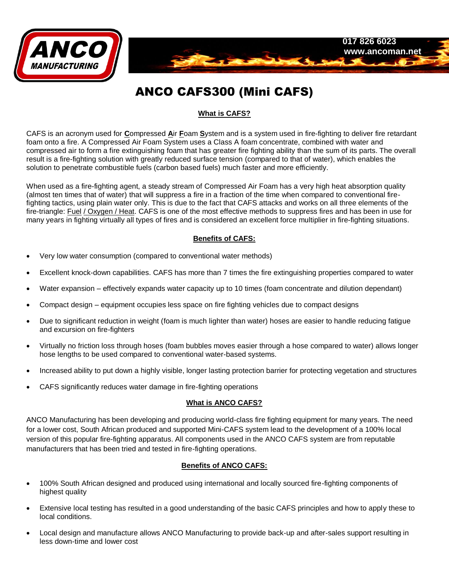

# ANCO CAFS300 (Mini CAFS)

# **What is CAFS?**

CAFS is an acronym used for **C**ompressed **A**ir **F**oam **S**ystem and is a system used in fire-fighting to deliver fire retardant foam onto a fire. A Compressed Air Foam System uses a Class A foam concentrate, combined with water and compressed air to form a fire extinguishing foam that has greater fire fighting ability than the sum of its parts. The overall result is a fire-fighting solution with greatly reduced surface tension (compared to that of water), which enables the solution to penetrate combustible fuels (carbon based fuels) much faster and more efficiently.

When used as a fire-fighting agent, a steady stream of Compressed Air Foam has a very high heat absorption quality (almost ten times that of water) that will suppress a fire in a fraction of the time when compared to conventional firefighting tactics, using plain water only. This is due to the fact that CAFS attacks and works on all three elements of the fire-triangle: Fuel / Oxygen / Heat. CAFS is one of the most effective methods to suppress fires and has been in use for many years in fighting virtually all types of fires and is considered an excellent force multiplier in fire-fighting situations.

# **Benefits of CAFS:**

- Very low water consumption (compared to conventional water methods)
- Excellent knock-down capabilities. CAFS has more than 7 times the fire extinguishing properties compared to water
- Water expansion effectively expands water capacity up to 10 times (foam concentrate and dilution dependant)
- Compact design equipment occupies less space on fire fighting vehicles due to compact designs
- Due to significant reduction in weight (foam is much lighter than water) hoses are easier to handle reducing fatigue and excursion on fire-fighters
- Virtually no friction loss through hoses (foam bubbles moves easier through a hose compared to water) allows longer hose lengths to be used compared to conventional water-based systems.
- Increased ability to put down a highly visible, longer lasting protection barrier for protecting vegetation and structures
- CAFS significantly reduces water damage in fire-fighting operations

#### **What is ANCO CAFS?**

ANCO Manufacturing has been developing and producing world-class fire fighting equipment for many years. The need for a lower cost, South African produced and supported Mini-CAFS system lead to the development of a 100% local version of this popular fire-fighting apparatus. All components used in the ANCO CAFS system are from reputable manufacturers that has been tried and tested in fire-fighting operations.

## **Benefits of ANCO CAFS:**

- 100% South African designed and produced using international and locally sourced fire-fighting components of highest quality
- Extensive local testing has resulted in a good understanding of the basic CAFS principles and how to apply these to local conditions.
- Local design and manufacture allows ANCO Manufacturing to provide back-up and after-sales support resulting in less down-time and lower cost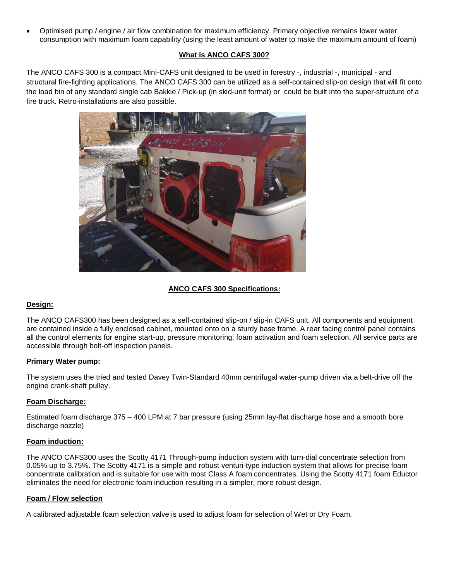Optimised pump / engine / air flow combination for maximum efficiency. Primary objective remains lower water consumption with maximum foam capability (using the least amount of water to make the maximum amount of foam)

# **What is ANCO CAFS 300?**

The ANCO CAFS 300 is a compact Mini-CAFS unit designed to be used in forestry -, industrial -, municipal - and structural fire-fighting applications. The ANCO CAFS 300 can be utilized as a self-contained slip-on design that will fit onto the load bin of any standard single cab Bakkie / Pick-up (in skid-unit format) or could be built into the super-structure of a fire truck. Retro-installations are also possible.



# **ANCO CAFS 300 Specifications:**

# **Design:**

The ANCO CAFS300 has been designed as a self-contained slip-on / slip-in CAFS unit. All components and equipment are contained inside a fully enclosed cabinet, mounted onto on a sturdy base frame. A rear facing control panel contains all the control elements for engine start-up, pressure monitoring, foam activation and foam selection. All service parts are accessible through bolt-off inspection panels.

## **Primary Water pump:**

The system uses the tried and tested Davey Twin-Standard 40mm centrifugal water-pump driven via a belt-drive off the engine crank-shaft pulley.

## **Foam Discharge:**

Estimated foam discharge 375 – 400 LPM at 7 bar pressure (using 25mm lay-flat discharge hose and a smooth bore discharge nozzle)

## **Foam induction:**

The ANCO CAFS300 uses the Scotty 4171 Through-pump induction system with turn-dial concentrate selection from 0.05% up to 3.75%. The Scotty 4171 is a simple and robust venturi-type induction system that allows for precise foam concentrate calibration and is suitable for use with most Class A foam concentrates. Using the Scotty 4171 foam Eductor eliminates the need for electronic foam induction resulting in a simpler, more robust design.

## **Foam / Flow selection**

A calibrated adjustable foam selection valve is used to adjust foam for selection of Wet or Dry Foam.